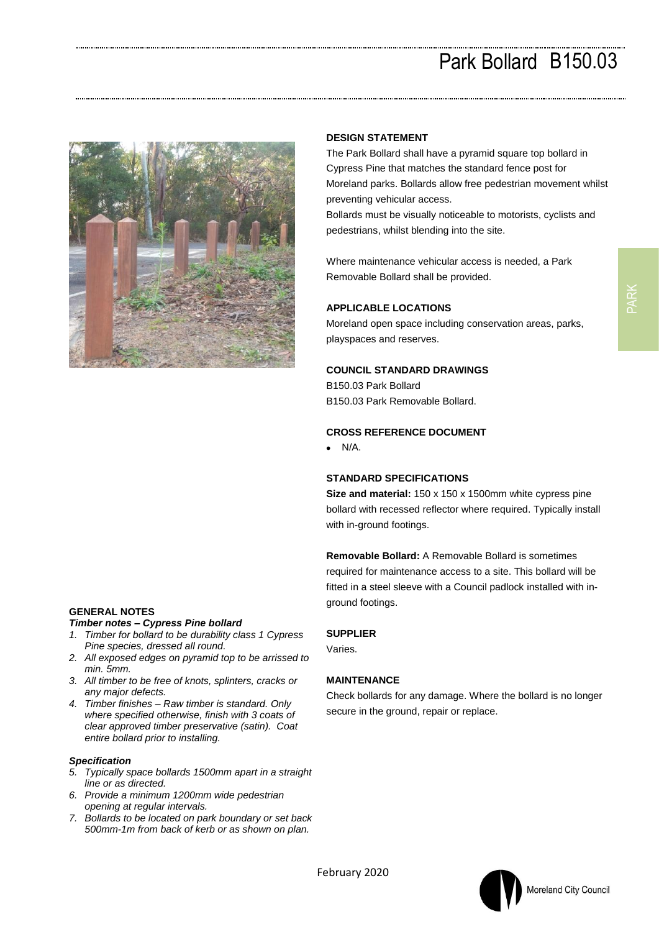# Park Bollard B150.03



# **GENERAL NOTES**

## *Timber notes – Cypress Pine bollard*

- *1. Timber for bollard to be durability class 1 Cypress Pine species, dressed all round.*
- *2. All exposed edges on pyramid top to be arrissed to min. 5mm.*
- *3. All timber to be free of knots, splinters, cracks or any major defects.*
- *4. Timber finishes – Raw timber is standard. Only where specified otherwise, finish with 3 coats of clear approved timber preservative (satin). Coat entire bollard prior to installing.*

## *Specification*

- *5. Typically space bollards 1500mm apart in a straight line or as directed.*
- *6. Provide a minimum 1200mm wide pedestrian opening at regular intervals.*
- *7. Bollards to be located on park boundary or set back 500mm-1m from back of kerb or as shown on plan.*

#### **DESIGN STATEMENT**

The Park Bollard shall have a pyramid square top bollard in Cypress Pine that matches the standard fence post for Moreland parks. Bollards allow free pedestrian movement whilst preventing vehicular access.

Bollards must be visually noticeable to motorists, cyclists and pedestrians, whilst blending into the site.

Where maintenance vehicular access is needed, a Park Removable Bollard shall be provided.

#### **APPLICABLE LOCATIONS**

Moreland open space including conservation areas, parks, playspaces and reserves.

#### **COUNCIL STANDARD DRAWINGS**

B150.03 Park Bollard B150.03 Park Removable Bollard.

#### **CROSS REFERENCE DOCUMENT**

 $\bullet$  N/A.

# **STANDARD SPECIFICATIONS**

**Size and material:** 150 x 150 x 1500mm white cypress pine bollard with recessed reflector where required. Typically install with in-ground footings.

**Removable Bollard:** A Removable Bollard is sometimes required for maintenance access to a site. This bollard will be fitted in a steel sleeve with a Council padlock installed with inground footings.

#### **SUPPLIER**

Varies.

#### **MAINTENANCE**

Check bollards for any damage. Where the bollard is no longer secure in the ground, repair or replace.